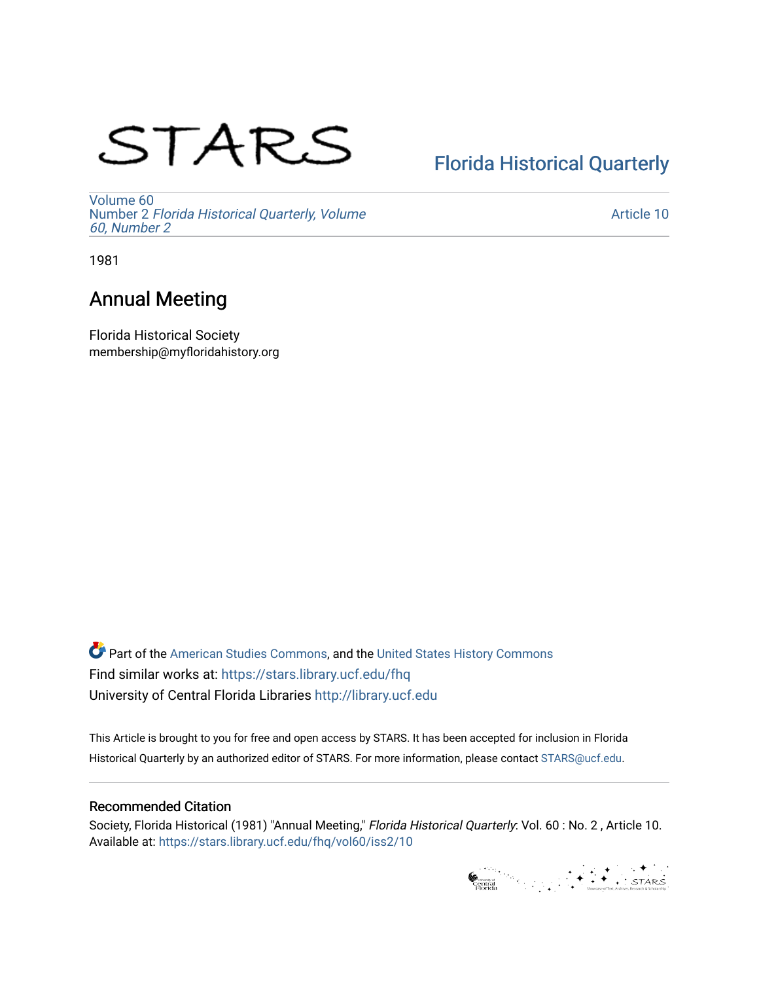# STARS

## [Florida Historical Quarterly](https://stars.library.ucf.edu/fhq)

[Volume 60](https://stars.library.ucf.edu/fhq/vol60) Number 2 [Florida Historical Quarterly, Volume](https://stars.library.ucf.edu/fhq/vol60/iss2)  [60, Number 2](https://stars.library.ucf.edu/fhq/vol60/iss2)

[Article 10](https://stars.library.ucf.edu/fhq/vol60/iss2/10) 

1981

### Annual Meeting

Florida Historical Society membership@myfloridahistory.org

**C** Part of the [American Studies Commons](http://network.bepress.com/hgg/discipline/439?utm_source=stars.library.ucf.edu%2Ffhq%2Fvol60%2Fiss2%2F10&utm_medium=PDF&utm_campaign=PDFCoverPages), and the United States History Commons Find similar works at: <https://stars.library.ucf.edu/fhq> University of Central Florida Libraries [http://library.ucf.edu](http://library.ucf.edu/) 

This Article is brought to you for free and open access by STARS. It has been accepted for inclusion in Florida Historical Quarterly by an authorized editor of STARS. For more information, please contact [STARS@ucf.edu.](mailto:STARS@ucf.edu)

#### Recommended Citation

Society, Florida Historical (1981) "Annual Meeting," Florida Historical Quarterly: Vol. 60 : No. 2 , Article 10. Available at: [https://stars.library.ucf.edu/fhq/vol60/iss2/10](https://stars.library.ucf.edu/fhq/vol60/iss2/10?utm_source=stars.library.ucf.edu%2Ffhq%2Fvol60%2Fiss2%2F10&utm_medium=PDF&utm_campaign=PDFCoverPages)

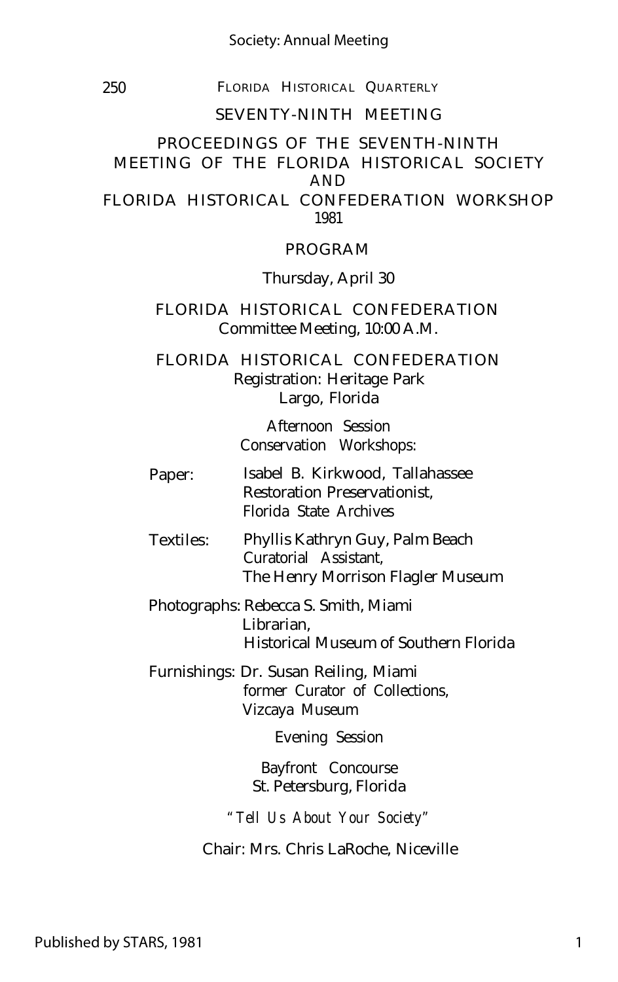#### Society: Annual Meeting

250 FLORIDA HISTORICAL QUARTERLY

#### SEVENTY-NINTH MEETING

#### PROCEEDINGS OF THE SEVENTH-NINTH MEETING OF THE FLORIDA HISTORICAL SOCIETY AND FLORIDA HISTORICAL CONFEDERATION WORKSHOP 1981

#### PROGRAM

Thursday, April 30

#### FLORIDA HISTORICAL CONFEDERATION Committee Meeting, 10:00 A.M.

FLORIDA HISTORICAL CONFEDERATION Registration: Heritage Park Largo, Florida

> Afternoon Session Conservation Workshops:

- Paper: Isabel B. Kirkwood, Tallahassee Restoration Preservationist, Florida State Archives
- Textiles: Phyllis Kathryn Guy, Palm Beach Curatorial Assistant, The Henry Morrison Flagler Museum
- Photographs: Rebecca S. Smith, Miami Librarian, Historical Museum of Southern Florida
- Furnishings: Dr. Susan Reiling, Miami former Curator of Collections, Vizcaya Museum

Evening Session

Bayfront Concourse St. Petersburg, Florida

*"Tell Us About Your Society"*

Chair: Mrs. Chris LaRoche, Niceville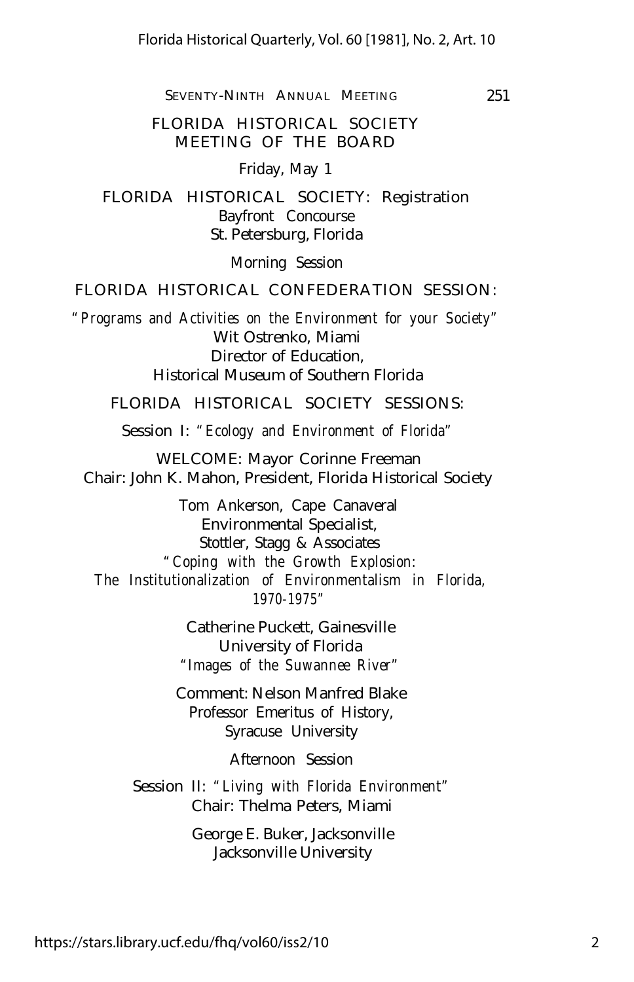FLORIDA HISTORICAL SOCIETY MEETING OF THE BOARD

Friday, May 1

FLORIDA HISTORICAL SOCIETY: Registration Bayfront Concourse St. Petersburg, Florida

Morning Session

#### FLORIDA HISTORICAL CONFEDERATION SESSION:

*"Programs and Activities on the Environment for your Society"* Wit Ostrenko, Miami Director of Education, Historical Museum of Southern Florida

FLORIDA HISTORICAL SOCIETY SESSIONS:

Session I: *"Ecology and Environment of Florida"*

WELCOME: Mayor Corinne Freeman Chair: John K. Mahon, President, Florida Historical Society

Tom Ankerson, Cape Canaveral Environmental Specialist, Stottler, Stagg & Associates *"Coping with the Growth Explosion: The Institutionalization of Environmentalism in Florida, 1970-1975"*

> Catherine Puckett, Gainesville University of Florida *"Images of the Suwannee River"*

Comment: Nelson Manfred Blake Professor Emeritus of History, Syracuse University

Afternoon Session

Session II: *"Living with Florida Environment"* Chair: Thelma Peters, Miami

> George E. Buker, Jacksonville Jacksonville University

https://stars.library.ucf.edu/fhq/vol60/iss2/10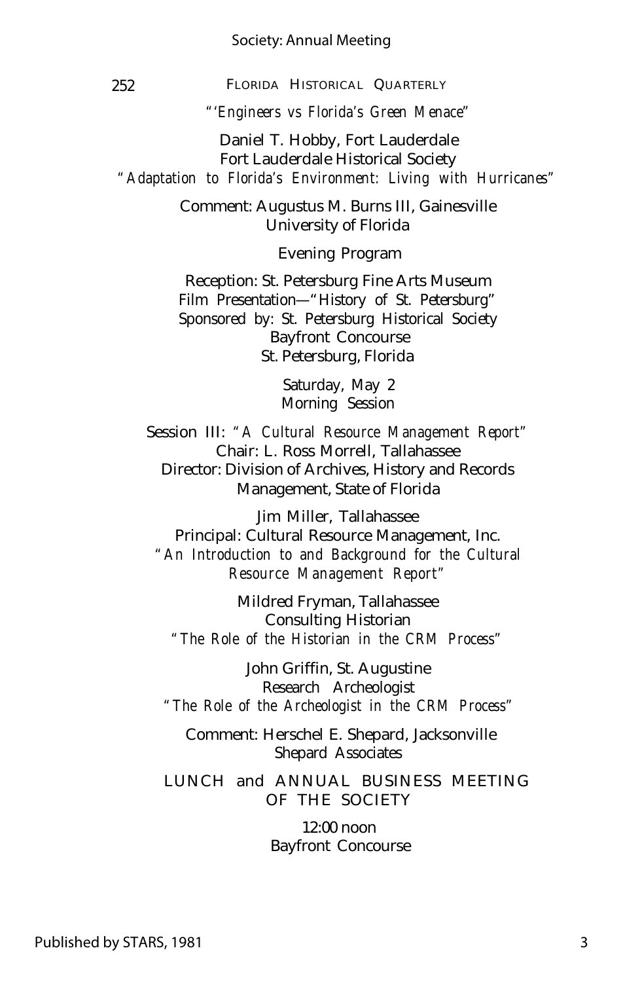#### Society: Annual Meeting

252 FLORIDA HISTORICAL QUARTERLY

*"'Engineers vs Florida's Green Menace"*

Daniel T. Hobby, Fort Lauderdale Fort Lauderdale Historical Society *"Adaptation to Florida's Environment: Living with Hurricanes"*

> Comment: Augustus M. Burns III, Gainesville University of Florida

> > Evening Program

Reception: St. Petersburg Fine Arts Museum Film Presentation— "History of St. Petersburg" Sponsored by: St. Petersburg Historical Society Bayfront Concourse St. Petersburg, Florida

> Saturday, May 2 Morning Session

Session III: *"A Cultural Resource Management Report"* Chair: L. Ross Morrell, Tallahassee Director: Division of Archives, History and Records Management, State of Florida

Jim Miller, Tallahassee Principal: Cultural Resource Management, Inc. *"An Introduction to and Background for the Cultural Resource Management Report"*

Mildred Fryman, Tallahassee Consulting Historian *"The Role of the Historian in the CRM Process"*

John Griffin, St. Augustine Research Archeologist *"The Role of the Archeologist in the CRM Process"*

Comment: Herschel E. Shepard, Jacksonville Shepard Associates

LUNCH and ANNUAL BUSINESS MEETING OF THE SOCIETY

> 12:00 noon Bayfront Concourse

3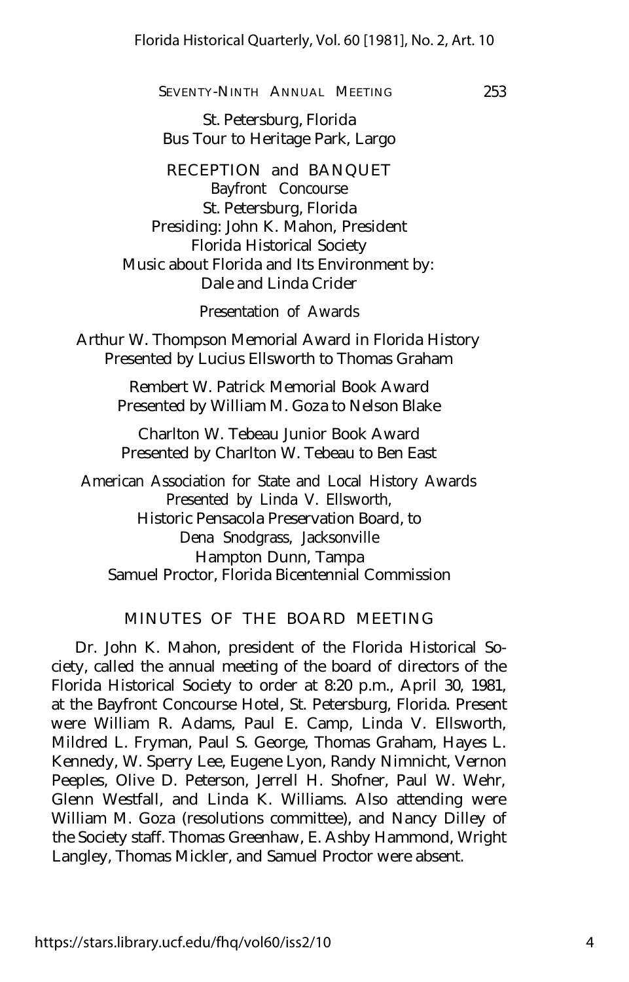253

#### SEVENTY-NINTH ANNUAL MEETING

St. Petersburg, Florida Bus Tour to Heritage Park, Largo

RECEPTION and BANQUET Bayfront Concourse St. Petersburg, Florida Presiding: John K. Mahon, President Florida Historical Society Music about Florida and Its Environment by: Dale and Linda Crider

Presentation of Awards

Arthur W. Thompson Memorial Award in Florida History Presented by Lucius Ellsworth to Thomas Graham

> Rembert W. Patrick Memorial Book Award Presented by William M. Goza to Nelson Blake

Charlton W. Tebeau Junior Book Award Presented by Charlton W. Tebeau to Ben East

American Association for State and Local History Awards Presented by Linda V. Ellsworth, Historic Pensacola Preservation Board, to Dena Snodgrass, Jacksonville Hampton Dunn, Tampa Samuel Proctor, Florida Bicentennial Commission

#### MINUTES OF THE BOARD MEETING

Dr. John K. Mahon, president of the Florida Historical Society, called the annual meeting of the board of directors of the Florida Historical Society to order at 8:20 p.m., April 30, 1981, at the Bayfront Concourse Hotel, St. Petersburg, Florida. Present were William R. Adams, Paul E. Camp, Linda V. Ellsworth, Mildred L. Fryman, Paul S. George, Thomas Graham, Hayes L. Kennedy, W. Sperry Lee, Eugene Lyon, Randy Nimnicht, Vernon Peeples, Olive D. Peterson, Jerrell H. Shofner, Paul W. Wehr, Glenn Westfall, and Linda K. Williams. Also attending were William M. Goza (resolutions committee), and Nancy Dilley of the Society staff. Thomas Greenhaw, E. Ashby Hammond, Wright Langley, Thomas Mickler, and Samuel Proctor were absent.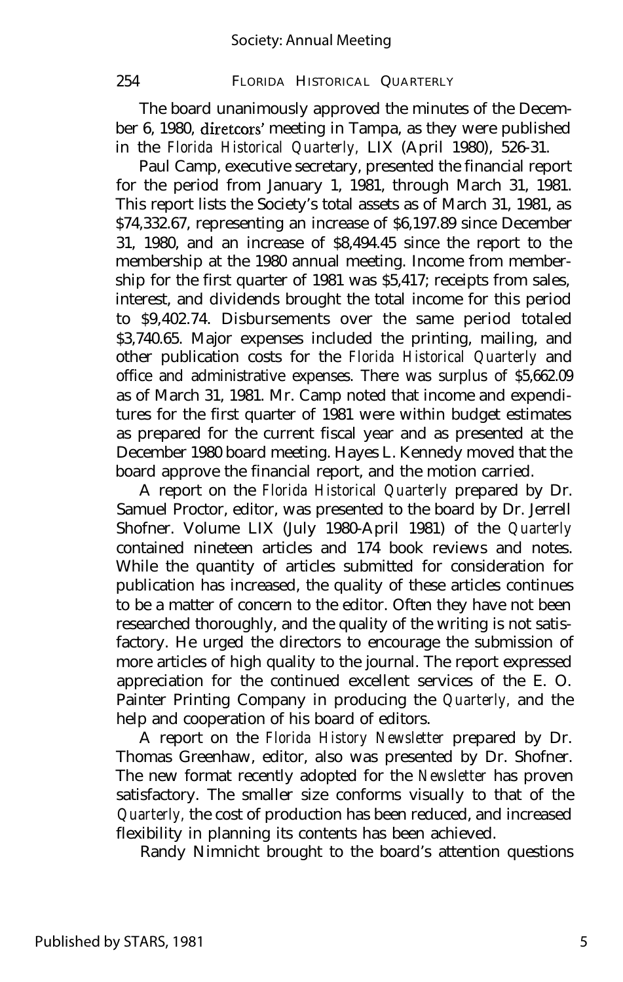The board unanimously approved the minutes of the December 6, 1980, diretcors' meeting in Tampa, as they were published in the *Florida Historical Quarterly,* LIX (April 1980), 526-31.

Paul Camp, executive secretary, presented the financial report for the period from January 1, 1981, through March 31, 1981. This report lists the Society's total assets as of March 31, 1981, as \$74,332.67, representing an increase of \$6,197.89 since December 31, 1980, and an increase of \$8,494.45 since the report to the membership at the 1980 annual meeting. Income from membership for the first quarter of 1981 was \$5,417; receipts from sales, interest, and dividends brought the total income for this period to \$9,402.74. Disbursements over the same period totaled \$3,740.65. Major expenses included the printing, mailing, and other publication costs for the *Florida Historical Quarterly* and office and administrative expenses. There was surplus of \$5,662.09 as of March 31, 1981. Mr. Camp noted that income and expenditures for the first quarter of 1981 were within budget estimates as prepared for the current fiscal year and as presented at the December 1980 board meeting. Hayes L. Kennedy moved that the board approve the financial report, and the motion carried.

A report on the *Florida Historical Quarterly* prepared by Dr. Samuel Proctor, editor, was presented to the board by Dr. Jerrell Shofner. Volume LIX (July 1980-April 1981) of the *Quarterly* contained nineteen articles and 174 book reviews and notes. While the quantity of articles submitted for consideration for publication has increased, the quality of these articles continues to be a matter of concern to the editor. Often they have not been researched thoroughly, and the quality of the writing is not satisfactory. He urged the directors to encourage the submission of more articles of high quality to the journal. The report expressed appreciation for the continued excellent services of the E. O. Painter Printing Company in producing the *Quarterly,* and the help and cooperation of his board of editors.

A report on the *Florida History Newsletter* prepared by Dr. Thomas Greenhaw, editor, also was presented by Dr. Shofner. The new format recently adopted for the *Newsletter* has proven satisfactory. The smaller size conforms visually to that of the *Quarterly,* the cost of production has been reduced, and increased flexibility in planning its contents has been achieved.

Randy Nimnicht brought to the board's attention questions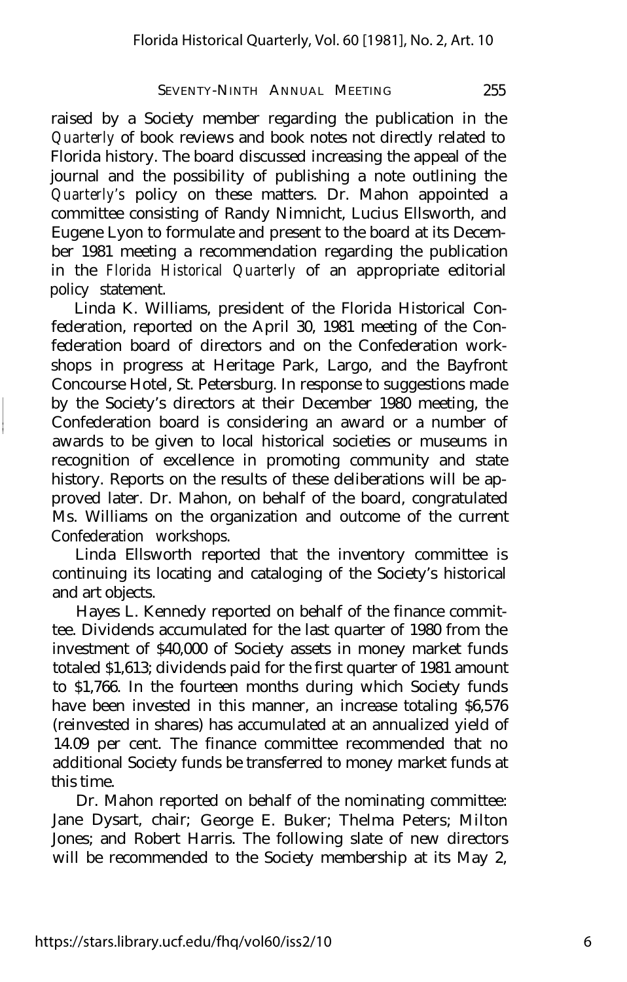raised by a Society member regarding the publication in the *Quarterly* of book reviews and book notes not directly related to Florida history. The board discussed increasing the appeal of the journal and the possibility of publishing a note outlining the *Quarterly's* policy on these matters. Dr. Mahon appointed a committee consisting of Randy Nimnicht, Lucius Ellsworth, and Eugene Lyon to formulate and present to the board at its December 1981 meeting a recommendation regarding the publication in the *Florida Historical Quarterly* of an appropriate editorial policy statement.

Linda K. Williams, president of the Florida Historical Confederation, reported on the April 30, 1981 meeting of the Confederation board of directors and on the Confederation workshops in progress at Heritage Park, Largo, and the Bayfront Concourse Hotel, St. Petersburg. In response to suggestions made by the Society's directors at their December 1980 meeting, the Confederation board is considering an award or a number of awards to be given to local historical societies or museums in recognition of excellence in promoting community and state history. Reports on the results of these deliberations will be approved later. Dr. Mahon, on behalf of the board, congratulated Ms. Williams on the organization and outcome of the current Confederation workshops.

Linda Ellsworth reported that the inventory committee is continuing its locating and cataloging of the Society's historical and art objects.

Hayes L. Kennedy reported on behalf of the finance committee. Dividends accumulated for the last quarter of 1980 from the investment of \$40,000 of Society assets in money market funds totaled \$1,613; dividends paid for the first quarter of 1981 amount to \$1,766. In the fourteen months during which Society funds have been invested in this manner, an increase totaling \$6,576 (reinvested in shares) has accumulated at an annualized yield of 14.09 per cent. The finance committee recommended that no additional Society funds be transferred to money market funds at this time.

Dr. Mahon reported on behalf of the nominating committee: Jane Dysart, chair; George E. Buker; Thelma Peters; Milton Jones; and Robert Harris. The following slate of new directors will be recommended to the Society membership at its May 2,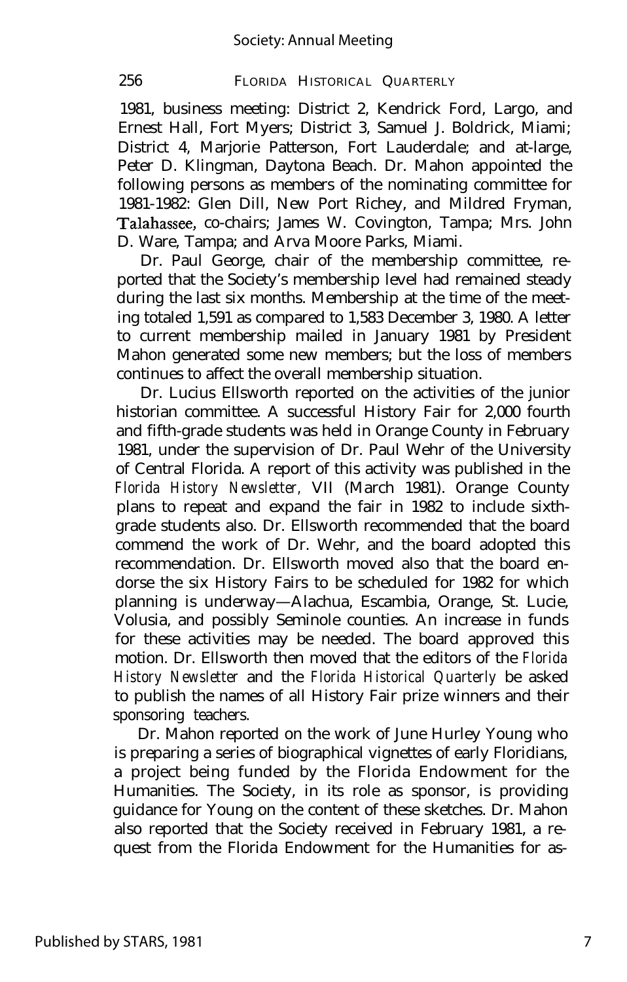1981, business meeting: District 2, Kendrick Ford, Largo, and Ernest Hall, Fort Myers; District 3, Samuel J. Boldrick, Miami; District 4, Marjorie Patterson, Fort Lauderdale; and at-large, Peter D. Klingman, Daytona Beach. Dr. Mahon appointed the following persons as members of the nominating committee for 1981-1982: Glen Dill, New Port Richey, and Mildred Fryman, Talahassee, co-chairs; James W. Covington, Tampa; Mrs. John D. Ware, Tampa; and Arva Moore Parks, Miami.

Dr. Paul George, chair of the membership committee, reported that the Society's membership level had remained steady during the last six months. Membership at the time of the meeting totaled 1,591 as compared to 1,583 December 3, 1980. A letter to current membership mailed in January 1981 by President Mahon generated some new members; but the loss of members continues to affect the overall membership situation.

Dr. Lucius Ellsworth reported on the activities of the junior historian committee. A successful History Fair for 2,000 fourth and fifth-grade students was held in Orange County in February 1981, under the supervision of Dr. Paul Wehr of the University of Central Florida. A report of this activity was published in the *Florida History Newsletter,* VII (March 1981). Orange County plans to repeat and expand the fair in 1982 to include sixthgrade students also. Dr. Ellsworth recommended that the board commend the work of Dr. Wehr, and the board adopted this recommendation. Dr. Ellsworth moved also that the board endorse the six History Fairs to be scheduled for 1982 for which planning is underway— Alachua, Escambia, Orange, St. Lucie, Volusia, and possibly Seminole counties. An increase in funds for these activities may be needed. The board approved this motion. Dr. Ellsworth then moved that the editors of the *Florida History Newsletter* and the *Florida Historical Quarterly* be asked to publish the names of all History Fair prize winners and their sponsoring teachers.

Dr. Mahon reported on the work of June Hurley Young who is preparing a series of biographical vignettes of early Floridians, a project being funded by the Florida Endowment for the Humanities. The Society, in its role as sponsor, is providing guidance for Young on the content of these sketches. Dr. Mahon also reported that the Society received in February 1981, a request from the Florida Endowment for the Humanities for as-

Published by STARS, 1981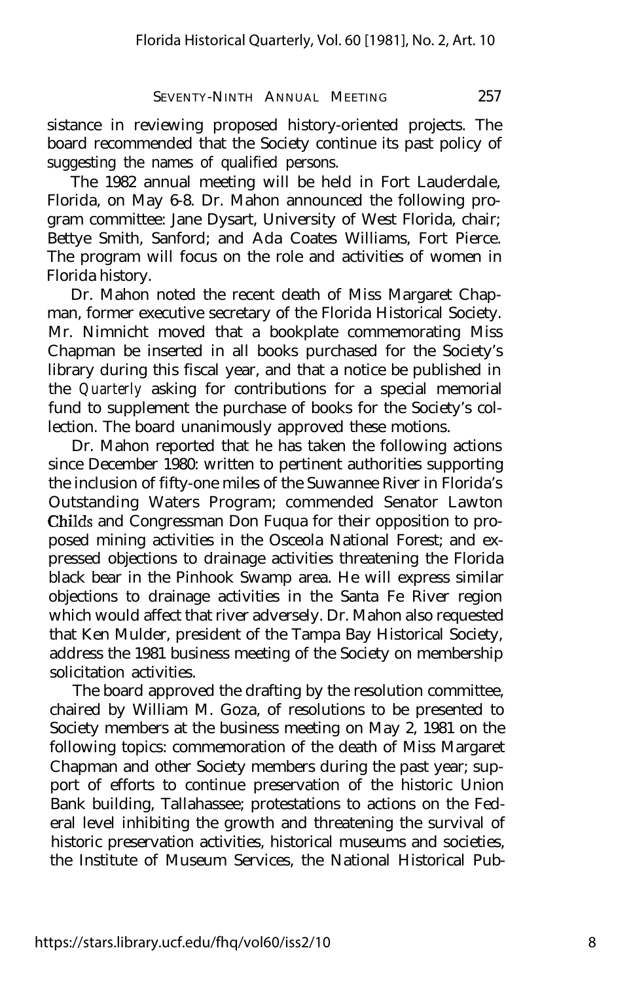sistance in reviewing proposed history-oriented projects. The board recommended that the Society continue its past policy of suggesting the names of qualified persons.

The 1982 annual meeting will be held in Fort Lauderdale, Florida, on May 6-8. Dr. Mahon announced the following program committee: Jane Dysart, University of West Florida, chair; Bettye Smith, Sanford; and Ada Coates Williams, Fort Pierce. The program will focus on the role and activities of women in Florida history.

Dr. Mahon noted the recent death of Miss Margaret Chapman, former executive secretary of the Florida Historical Society. Mr. Nimnicht moved that a bookplate commemorating Miss Chapman be inserted in all books purchased for the Society's library during this fiscal year, and that a notice be published in the *Quarterly* asking for contributions for a special memorial fund to supplement the purchase of books for the Society's collection. The board unanimously approved these motions.

Dr. Mahon reported that he has taken the following actions since December 1980: written to pertinent authorities supporting the inclusion of fifty-one miles of the Suwannee River in Florida's Outstanding Waters Program; commended Senator Lawton Childs and Congressman Don Fuqua for their opposition to proposed mining activities in the Osceola National Forest; and expressed objections to drainage activities threatening the Florida black bear in the Pinhook Swamp area. He will express similar objections to drainage activities in the Santa Fe River region which would affect that river adversely. Dr. Mahon also requested that Ken Mulder, president of the Tampa Bay Historical Society, address the 1981 business meeting of the Society on membership solicitation activities.

The board approved the drafting by the resolution committee, chaired by William M. Goza, of resolutions to be presented to Society members at the business meeting on May 2, 1981 on the following topics: commemoration of the death of Miss Margaret Chapman and other Society members during the past year; support of efforts to continue preservation of the historic Union Bank building, Tallahassee; protestations to actions on the Federal level inhibiting the growth and threatening the survival of historic preservation activities, historical museums and societies, the Institute of Museum Services, the National Historical Pub-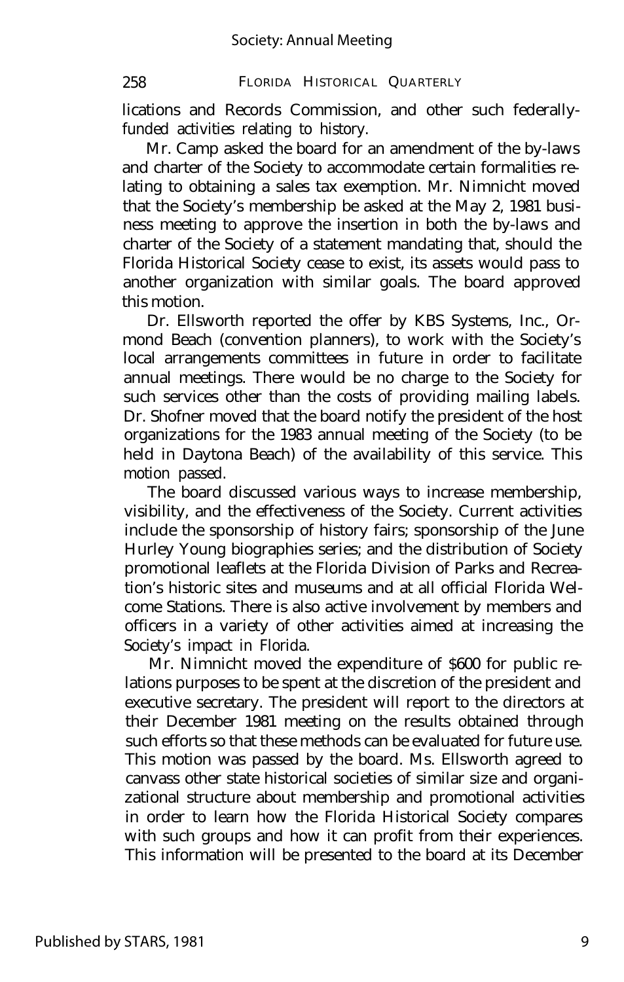lications and Records Commission, and other such federallyfunded activities relating to history.

Mr. Camp asked the board for an amendment of the by-laws and charter of the Society to accommodate certain formalities relating to obtaining a sales tax exemption. Mr. Nimnicht moved that the Society's membership be asked at the May 2, 1981 business meeting to approve the insertion in both the by-laws and charter of the Society of a statement mandating that, should the Florida Historical Society cease to exist, its assets would pass to another organization with similar goals. The board approved this motion.

Dr. Ellsworth reported the offer by KBS Systems, Inc., Ormond Beach (convention planners), to work with the Society's local arrangements committees in future in order to facilitate annual meetings. There would be no charge to the Society for such services other than the costs of providing mailing labels. Dr. Shofner moved that the board notify the president of the host organizations for the 1983 annual meeting of the Society (to be held in Daytona Beach) of the availability of this service. This motion passed.

The board discussed various ways to increase membership, visibility, and the effectiveness of the Society. Current activities include the sponsorship of history fairs; sponsorship of the June Hurley Young biographies series; and the distribution of Society promotional leaflets at the Florida Division of Parks and Recreation's historic sites and museums and at all official Florida Welcome Stations. There is also active involvement by members and officers in a variety of other activities aimed at increasing the Society's impact in Florida.

Mr. Nimnicht moved the expenditure of \$600 for public relations purposes to be spent at the discretion of the president and executive secretary. The president will report to the directors at their December 1981 meeting on the results obtained through such efforts so that these methods can be evaluated for future use. This motion was passed by the board. Ms. Ellsworth agreed to canvass other state historical societies of similar size and organizational structure about membership and promotional activities in order to learn how the Florida Historical Society compares with such groups and how it can profit from their experiences. This information will be presented to the board at its December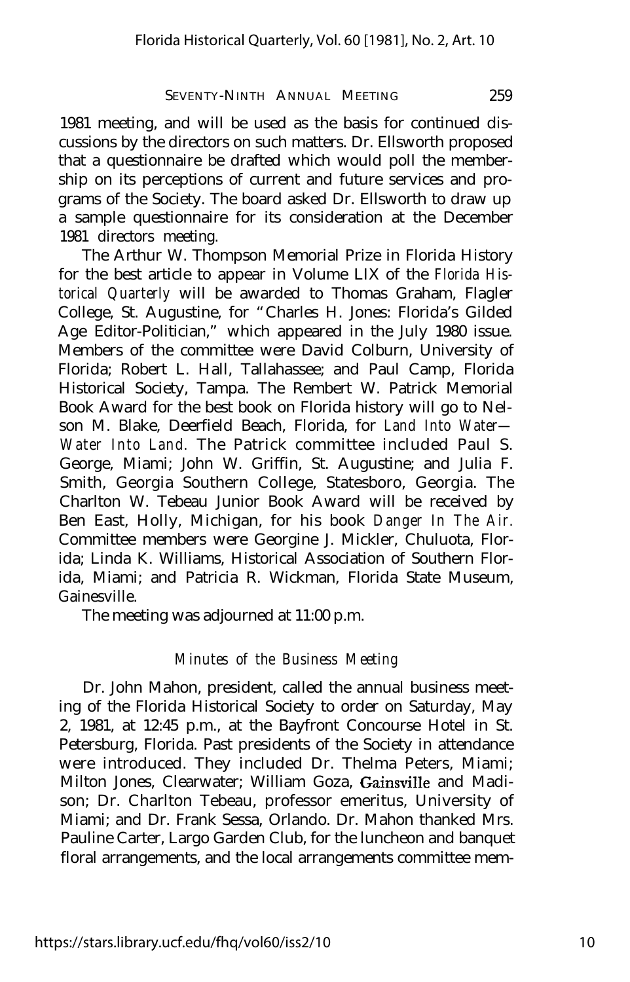1981 meeting, and will be used as the basis for continued discussions by the directors on such matters. Dr. Ellsworth proposed that a questionnaire be drafted which would poll the membership on its perceptions of current and future services and programs of the Society. The board asked Dr. Ellsworth to draw up a sample questionnaire for its consideration at the December 1981 directors meeting.

The Arthur W. Thompson Memorial Prize in Florida History for the best article to appear in Volume LIX of the *Florida Historical Quarterly* will be awarded to Thomas Graham, Flagler College, St. Augustine, for "Charles H. Jones: Florida's Gilded Age Editor-Politician," which appeared in the July 1980 issue. Members of the committee were David Colburn, University of Florida; Robert L. Hall, Tallahassee; and Paul Camp, Florida Historical Society, Tampa. The Rembert W. Patrick Memorial Book Award for the best book on Florida history will go to Nelson M. Blake, Deerfield Beach, Florida, for *Land Into Water— Water Into Land.* The Patrick committee included Paul S. George, Miami; John W. Griffin, St. Augustine; and Julia F. Smith, Georgia Southern College, Statesboro, Georgia. The Charlton W. Tebeau Junior Book Award will be received by Ben East, Holly, Michigan, for his book *Danger In The Air.* Committee members were Georgine J. Mickler, Chuluota, Florida; Linda K. Williams, Historical Association of Southern Florida, Miami; and Patricia R. Wickman, Florida State Museum, Gainesville.

The meeting was adjourned at 11:00 p.m.

#### *Minutes of the Business Meeting*

Dr. John Mahon, president, called the annual business meeting of the Florida Historical Society to order on Saturday, May 2, 1981, at 12:45 p.m., at the Bayfront Concourse Hotel in St. Petersburg, Florida. Past presidents of the Society in attendance were introduced. They included Dr. Thelma Peters, Miami; Milton Jones, Clearwater; William Goza, Gainsville and Madison; Dr. Charlton Tebeau, professor emeritus, University of Miami; and Dr. Frank Sessa, Orlando. Dr. Mahon thanked Mrs. Pauline Carter, Largo Garden Club, for the luncheon and banquet floral arrangements, and the local arrangements committee mem-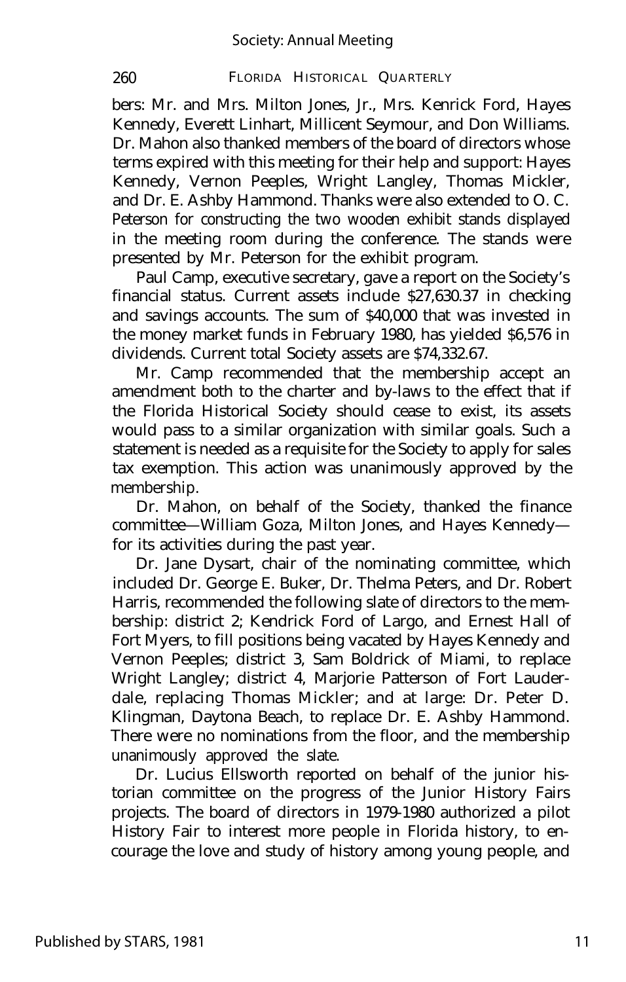bers: Mr. and Mrs. Milton Jones, Jr., Mrs. Kenrick Ford, Hayes Kennedy, Everett Linhart, Millicent Seymour, and Don Williams. Dr. Mahon also thanked members of the board of directors whose terms expired with this meeting for their help and support: Hayes Kennedy, Vernon Peeples, Wright Langley, Thomas Mickler, and Dr. E. Ashby Hammond. Thanks were also extended to O. C. Peterson for constructing the two wooden exhibit stands displayed in the meeting room during the conference. The stands were presented by Mr. Peterson for the exhibit program.

Paul Camp, executive secretary, gave a report on the Society's financial status. Current assets include \$27,630.37 in checking and savings accounts. The sum of \$40,000 that was invested in the money market funds in February 1980, has yielded \$6,576 in dividends. Current total Society assets are \$74,332.67.

Mr. Camp recommended that the membership accept an amendment both to the charter and by-laws to the effect that if the Florida Historical Society should cease to exist, its assets would pass to a similar organization with similar goals. Such a statement is needed as a requisite for the Society to apply for sales tax exemption. This action was unanimously approved by the membership.

Dr. Mahon, on behalf of the Society, thanked the finance committee— William Goza, Milton Jones, and Hayes Kennedy for its activities during the past year.

Dr. Jane Dysart, chair of the nominating committee, which included Dr. George E. Buker, Dr. Thelma Peters, and Dr. Robert Harris, recommended the following slate of directors to the membership: district 2; Kendrick Ford of Largo, and Ernest Hall of Fort Myers, to fill positions being vacated by Hayes Kennedy and Vernon Peeples; district 3, Sam Boldrick of Miami, to replace Wright Langley; district 4, Marjorie Patterson of Fort Lauderdale, replacing Thomas Mickler; and at large: Dr. Peter D. Klingman, Daytona Beach, to replace Dr. E. Ashby Hammond. There were no nominations from the floor, and the membership unanimously approved the slate.

Dr. Lucius Ellsworth reported on behalf of the junior historian committee on the progress of the Junior History Fairs projects. The board of directors in 1979-1980 authorized a pilot History Fair to interest more people in Florida history, to encourage the love and study of history among young people, and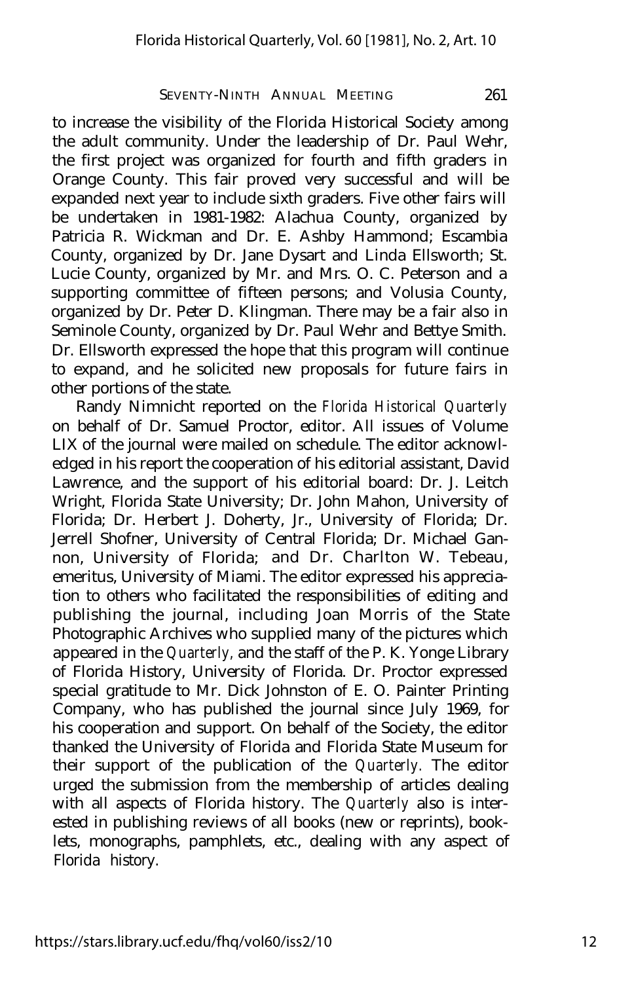to increase the visibility of the Florida Historical Society among the adult community. Under the leadership of Dr. Paul Wehr, the first project was organized for fourth and fifth graders in Orange County. This fair proved very successful and will be expanded next year to include sixth graders. Five other fairs will be undertaken in 1981-1982: Alachua County, organized by Patricia R. Wickman and Dr. E. Ashby Hammond; Escambia County, organized by Dr. Jane Dysart and Linda Ellsworth; St. Lucie County, organized by Mr. and Mrs. O. C. Peterson and a supporting committee of fifteen persons; and Volusia County, organized by Dr. Peter D. Klingman. There may be a fair also in Seminole County, organized by Dr. Paul Wehr and Bettye Smith. Dr. Ellsworth expressed the hope that this program will continue to expand, and he solicited new proposals for future fairs in other portions of the state.

Randy Nimnicht reported on the *Florida Historical Quarterly* on behalf of Dr. Samuel Proctor, editor. All issues of Volume LIX of the journal were mailed on schedule. The editor acknowledged in his report the cooperation of his editorial assistant, David Lawrence, and the support of his editorial board: Dr. J. Leitch Wright, Florida State University; Dr. John Mahon, University of Florida; Dr. Herbert J. Doherty, Jr., University of Florida; Dr. Jerrell Shofner, University of Central Florida; Dr. Michael Gannon, University of Florida; and Dr. Charlton W. Tebeau, emeritus, University of Miami. The editor expressed his appreciation to others who facilitated the responsibilities of editing and publishing the journal, including Joan Morris of the State Photographic Archives who supplied many of the pictures which appeared in the *Quarterly,* and the staff of the P. K. Yonge Library of Florida History, University of Florida. Dr. Proctor expressed special gratitude to Mr. Dick Johnston of E. O. Painter Printing Company, who has published the journal since July 1969, for his cooperation and support. On behalf of the Society, the editor thanked the University of Florida and Florida State Museum for their support of the publication of the *Quarterly.* The editor urged the submission from the membership of articles dealing with all aspects of Florida history. The *Quarterly* also is interested in publishing reviews of all books (new or reprints), booklets, monographs, pamphlets, etc., dealing with any aspect of Florida history.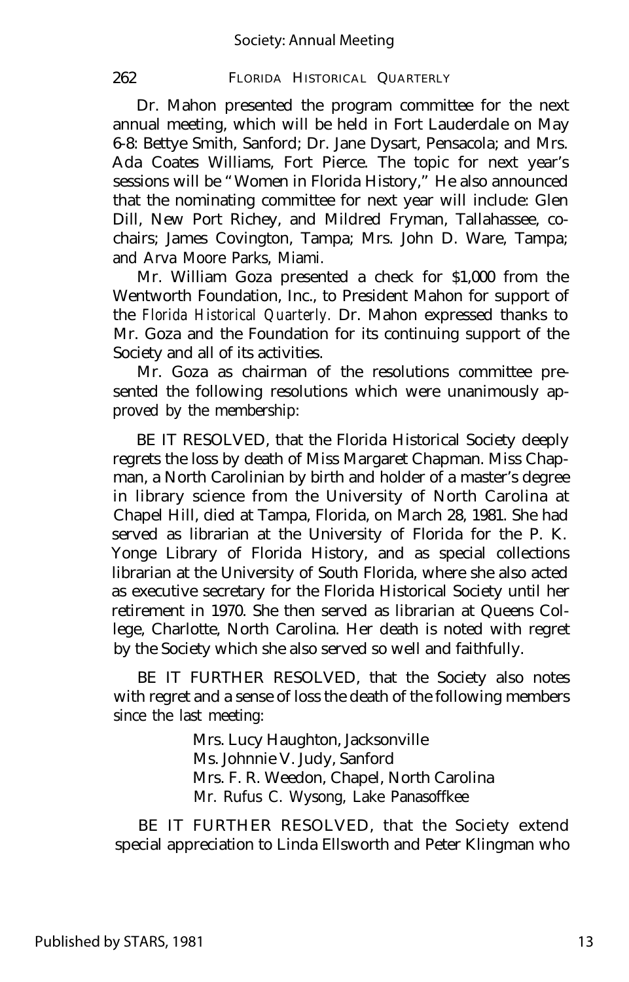Dr. Mahon presented the program committee for the next annual meeting, which will be held in Fort Lauderdale on May 6-8: Bettye Smith, Sanford; Dr. Jane Dysart, Pensacola; and Mrs. Ada Coates Williams, Fort Pierce. The topic for next year's sessions will be "Women in Florida History," He also announced that the nominating committee for next year will include: Glen Dill, New Port Richey, and Mildred Fryman, Tallahassee, cochairs; James Covington, Tampa; Mrs. John D. Ware, Tampa; and Arva Moore Parks, Miami.

Mr. William Goza presented a check for \$1,000 from the Wentworth Foundation, Inc., to President Mahon for support of the *Florida Historical Quarterly.* Dr. Mahon expressed thanks to Mr. Goza and the Foundation for its continuing support of the Society and all of its activities.

Mr. Goza as chairman of the resolutions committee presented the following resolutions which were unanimously approved by the membership:

BE IT RESOLVED, that the Florida Historical Society deeply regrets the loss by death of Miss Margaret Chapman. Miss Chapman, a North Carolinian by birth and holder of a master's degree in library science from the University of North Carolina at Chapel Hill, died at Tampa, Florida, on March 28, 1981. She had served as librarian at the University of Florida for the P. K. Yonge Library of Florida History, and as special collections librarian at the University of South Florida, where she also acted as executive secretary for the Florida Historical Society until her retirement in 1970. She then served as librarian at Queens College, Charlotte, North Carolina. Her death is noted with regret by the Society which she also served so well and faithfully.

BE IT FURTHER RESOLVED, that the Society also notes with regret and a sense of loss the death of the following members since the last meeting:

> Mrs. Lucy Haughton, Jacksonville Ms. Johnnie V. Judy, Sanford Mrs. F. R. Weedon, Chapel, North Carolina Mr. Rufus C. Wysong, Lake Panasoffkee

BE IT FURTHER RESOLVED, that the Society extend special appreciation to Linda Ellsworth and Peter Klingman who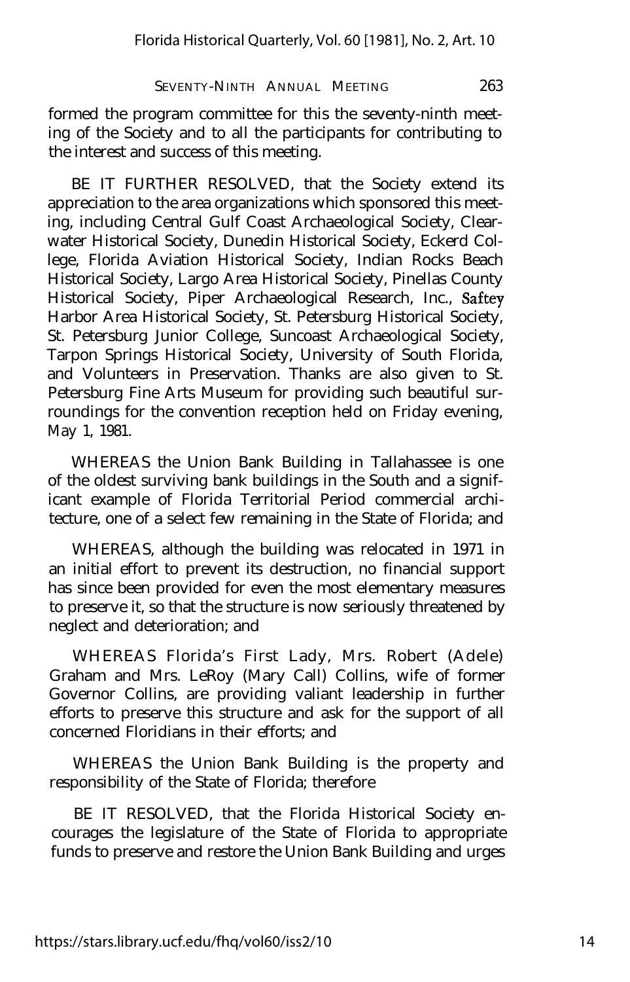formed the program committee for this the seventy-ninth meeting of the Society and to all the participants for contributing to the interest and success of this meeting.

BE IT FURTHER RESOLVED, that the Society extend its appreciation to the area organizations which sponsored this meeting, including Central Gulf Coast Archaeological Society, Clearwater Historical Society, Dunedin Historical Society, Eckerd College, Florida Aviation Historical Society, Indian Rocks Beach Historical Society, Largo Area Historical Society, Pinellas County Historical Society, Piper Archaeological Research, Inc., Saftey Harbor Area Historical Society, St. Petersburg Historical Society, St. Petersburg Junior College, Suncoast Archaeological Society, Tarpon Springs Historical Society, University of South Florida, and Volunteers in Preservation. Thanks are also given to St. Petersburg Fine Arts Museum for providing such beautiful surroundings for the convention reception held on Friday evening, May 1, 1981.

WHEREAS the Union Bank Building in Tallahassee is one of the oldest surviving bank buildings in the South and a significant example of Florida Territorial Period commercial architecture, one of a select few remaining in the State of Florida; and

WHEREAS, although the building was relocated in 1971 in an initial effort to prevent its destruction, no financial support has since been provided for even the most elementary measures to preserve it, so that the structure is now seriously threatened by neglect and deterioration; and

WHEREAS Florida's First Lady, Mrs. Robert (Adele) Graham and Mrs. LeRoy (Mary Call) Collins, wife of former Governor Collins, are providing valiant leadership in further efforts to preserve this structure and ask for the support of all concerned Floridians in their efforts; and

WHEREAS the Union Bank Building is the property and responsibility of the State of Florida; therefore

BE IT RESOLVED, that the Florida Historical Society encourages the legislature of the State of Florida to appropriate funds to preserve and restore the Union Bank Building and urges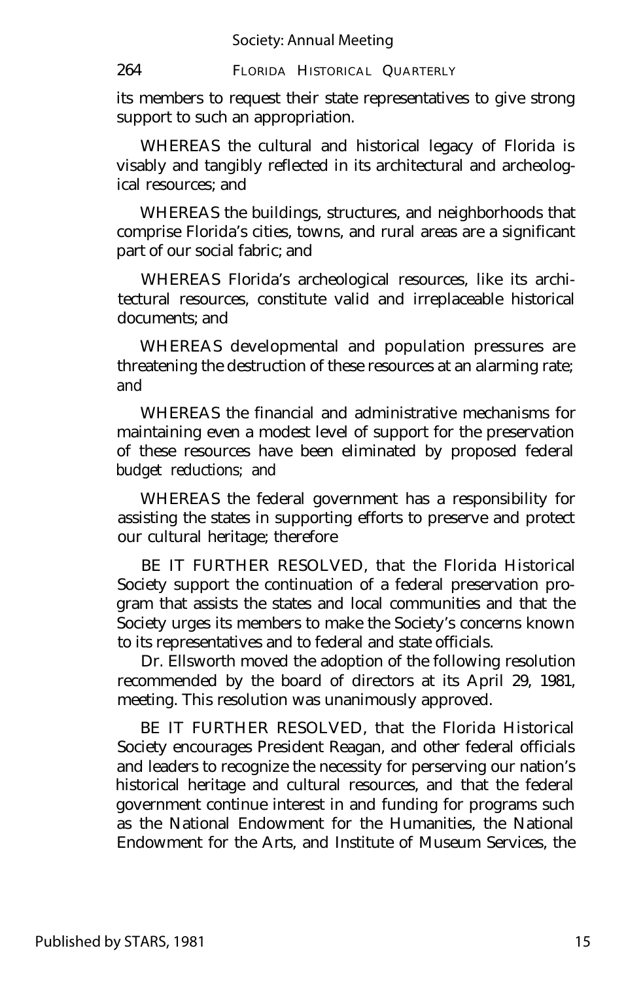its members to request their state representatives to give strong support to such an appropriation.

WHEREAS the cultural and historical legacy of Florida is visably and tangibly reflected in its architectural and archeological resources; and

WHEREAS the buildings, structures, and neighborhoods that comprise Florida's cities, towns, and rural areas are a significant part of our social fabric; and

WHEREAS Florida's archeological resources, like its architectural resources, constitute valid and irreplaceable historical documents; and

WHEREAS developmental and population pressures are threatening the destruction of these resources at an alarming rate; and

WHEREAS the financial and administrative mechanisms for maintaining even a modest level of support for the preservation of these resources have been eliminated by proposed federal budget reductions; and

WHEREAS the federal government has a responsibility for assisting the states in supporting efforts to preserve and protect our cultural heritage; therefore

BE IT FURTHER RESOLVED, that the Florida Historical Society support the continuation of a federal preservation program that assists the states and local communities and that the Society urges its members to make the Society's concerns known to its representatives and to federal and state officials.

Dr. Ellsworth moved the adoption of the following resolution recommended by the board of directors at its April 29, 1981, meeting. This resolution was unanimously approved.

BE IT FURTHER RESOLVED, that the Florida Historical Society encourages President Reagan, and other federal officials and leaders to recognize the necessity for perserving our nation's historical heritage and cultural resources, and that the federal government continue interest in and funding for programs such as the National Endowment for the Humanities, the National Endowment for the Arts, and Institute of Museum Services, the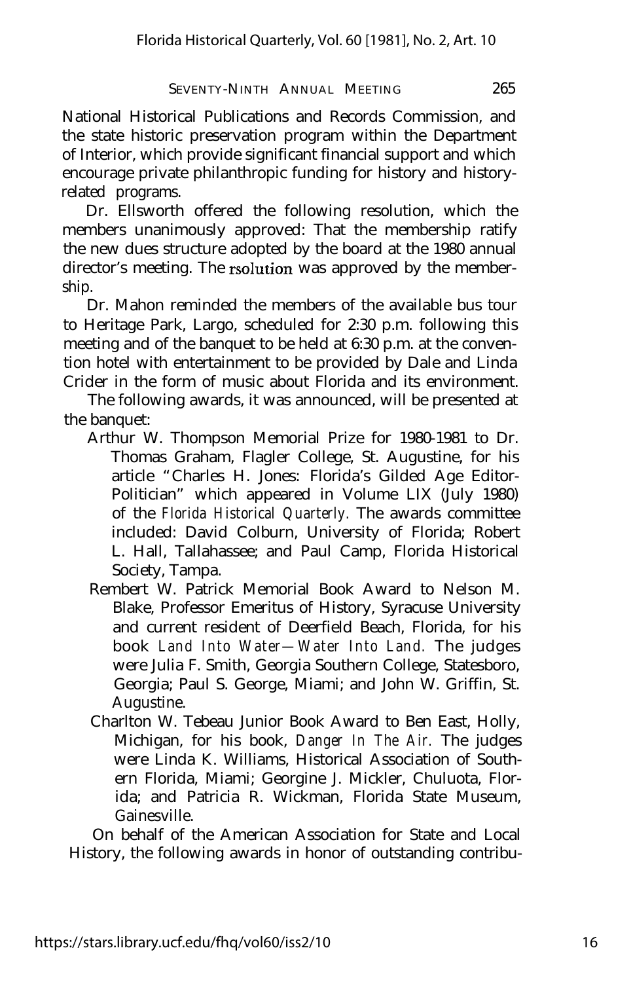National Historical Publications and Records Commission, and the state historic preservation program within the Department of Interior, which provide significant financial support and which encourage private philanthropic funding for history and historyrelated programs.

Dr. Ellsworth offered the following resolution, which the members unanimously approved: That the membership ratify the new dues structure adopted by the board at the 1980 annual director's meeting. The rsolution was approved by the membership.

Dr. Mahon reminded the members of the available bus tour to Heritage Park, Largo, scheduled for 2:30 p.m. following this meeting and of the banquet to be held at 6:30 p.m. at the convention hotel with entertainment to be provided by Dale and Linda Crider in the form of music about Florida and its environment.

The following awards, it was announced, will be presented at the banquet:

- Arthur W. Thompson Memorial Prize for 1980-1981 to Dr. Thomas Graham, Flagler College, St. Augustine, for his article "Charles H. Jones: Florida's Gilded Age Editor-Politician" which appeared in Volume LIX (July 1980) of the *Florida Historical Quarterly.* The awards committee included: David Colburn, University of Florida; Robert L. Hall, Tallahassee; and Paul Camp, Florida Historical Society, Tampa.
- Rembert W. Patrick Memorial Book Award to Nelson M. Blake, Professor Emeritus of History, Syracuse University and current resident of Deerfield Beach, Florida, for his book *Land Into Water— Water Into Land.* The judges were Julia F. Smith, Georgia Southern College, Statesboro, Georgia; Paul S. George, Miami; and John W. Griffin, St. Augustine.
- Charlton W. Tebeau Junior Book Award to Ben East, Holly, Michigan, for his book, *Danger In The Air.* The judges were Linda K. Williams, Historical Association of Southern Florida, Miami; Georgine J. Mickler, Chuluota, Florida; and Patricia R. Wickman, Florida State Museum, Gainesville.

On behalf of the American Association for State and Local History, the following awards in honor of outstanding contribu-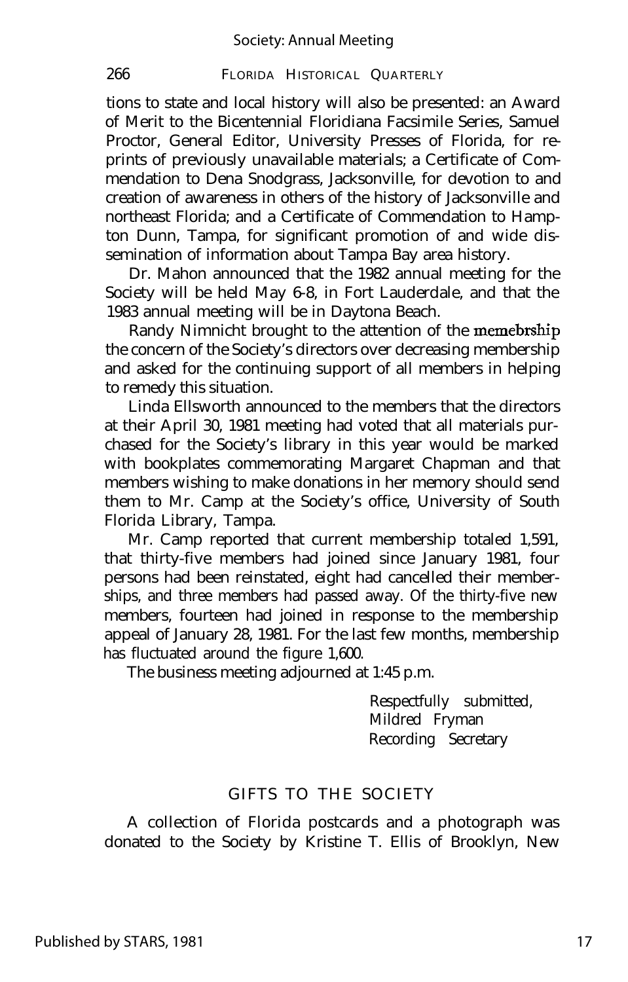tions to state and local history will also be presented: an Award of Merit to the Bicentennial Floridiana Facsimile Series, Samuel Proctor, General Editor, University Presses of Florida, for reprints of previously unavailable materials; a Certificate of Commendation to Dena Snodgrass, Jacksonville, for devotion to and creation of awareness in others of the history of Jacksonville and northeast Florida; and a Certificate of Commendation to Hampton Dunn, Tampa, for significant promotion of and wide dissemination of information about Tampa Bay area history.

Dr. Mahon announced that the 1982 annual meeting for the Society will be held May 6-8, in Fort Lauderdale, and that the 1983 annual meeting will be in Daytona Beach.

Randy Nimnicht brought to the attention of the memebrship the concern of the Society's directors over decreasing membership and asked for the continuing support of all members in helping to remedy this situation.

Linda Ellsworth announced to the members that the directors at their April 30, 1981 meeting had voted that all materials purchased for the Society's library in this year would be marked with bookplates commemorating Margaret Chapman and that members wishing to make donations in her memory should send them to Mr. Camp at the Society's office, University of South Florida Library, Tampa.

Mr. Camp reported that current membership totaled 1,591, that thirty-five members had joined since January 1981, four persons had been reinstated, eight had cancelled their memberships, and three members had passed away. Of the thirty-five new members, fourteen had joined in response to the membership appeal of January 28, 1981. For the last few months, membership has fluctuated around the figure 1,600.

The business meeting adjourned at 1:45 p.m.

Respectfully submitted, Mildred Fryman Recording Secretary

#### GIFTS TO THE SOCIETY

A collection of Florida postcards and a photograph was donated to the Society by Kristine T. Ellis of Brooklyn, New

Published by STARS, 1981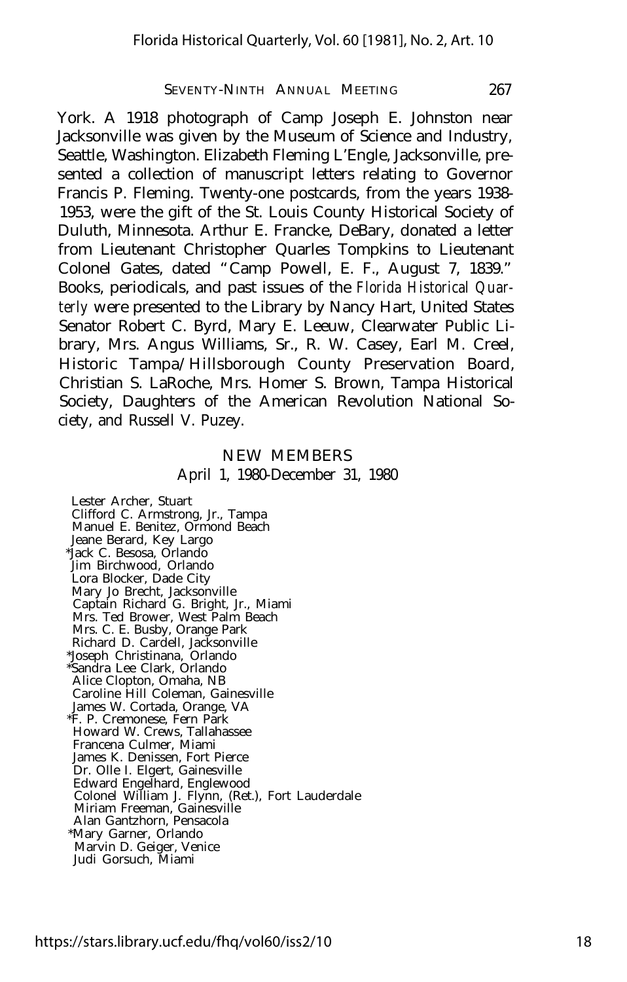York. A 1918 photograph of Camp Joseph E. Johnston near Jacksonville was given by the Museum of Science and Industry, Seattle, Washington. Elizabeth Fleming L'Engle, Jacksonville, presented a collection of manuscript letters relating to Governor Francis P. Fleming. Twenty-one postcards, from the years 1938- 1953, were the gift of the St. Louis County Historical Society of Duluth, Minnesota. Arthur E. Francke, DeBary, donated a letter from Lieutenant Christopher Quarles Tompkins to Lieutenant Colonel Gates, dated "Camp Powell, E. F., August 7, 1839." Books, periodicals, and past issues of the *Florida Historical Quarterly* were presented to the Library by Nancy Hart, United States Senator Robert C. Byrd, Mary E. Leeuw, Clearwater Public Library, Mrs. Angus Williams, Sr., R. W. Casey, Earl M. Creel, Historic Tampa/Hillsborough County Preservation Board, Christian S. LaRoche, Mrs. Homer S. Brown, Tampa Historical Society, Daughters of the American Revolution National Society, and Russell V. Puzey.

#### NEW MEMBERS April 1, 1980-December 31, 1980

Lester Archer, Stuart Clifford C. Armstrong, Jr., Tampa Manuel E. Benitez, Ormond Beach Jeane Berard, Key Largo \*Jack C. Besosa, Orlando Jim Birchwood, Orlando Lora Blocker, Dade City Mary Jo Brecht, Jacksonville Captain Richard G. Bright, Jr., Miami Mrs. Ted Brower, West Palm Beach Mrs. C. E. Busby, Orange Park Richard D. Cardell, Jacksonville \*Joseph Christinana, Orlando \*Sandra Lee Clark, Orlando Alice Clopton, Omaha, NB Caroline Hill Coleman, Gainesville James W. Cortada, Orange, VA \*F. P. Cremonese, Fern Park Howard W. Crews, Tallahassee Francena Culmer, Miami James K. Denissen, Fort Pierce Dr. Olle I. Elgert, Gainesville Edward Engelhard, Englewood Colonel William J. Flynn, (Ret.), Fort Lauderdale Miriam Freeman, Gainesville Alan Gantzhorn, Pensacola \*Mary Garner, Orlando Marvin D. Geiger, Venice Judi Gorsuch, Miami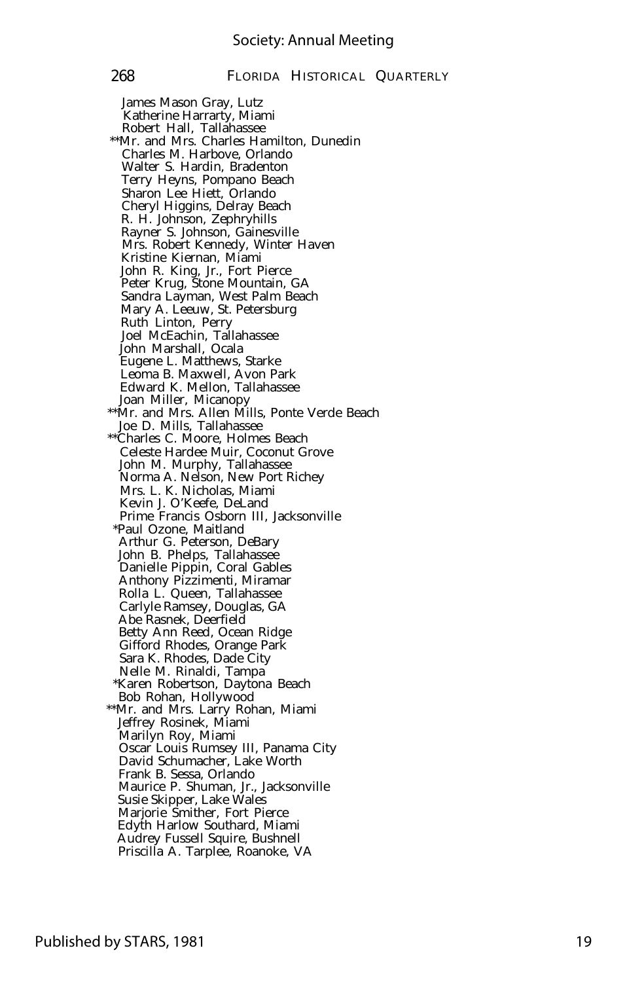James Mason Gray, Lutz Katherine Harrarty, Miami Robert Hall, Tallahassee \*\*Mr. and Mrs. Charles Hamilton, Dunedin Charles M. Harbove, Orlando Walter S. Hardin, Bradenton Terry Heyns, Pompano Beach Sharon Lee Hiett, Orlando Cheryl Higgins, Delray Beach R. H. Johnson, Zephryhills Rayner S. Johnson, Gainesville Mrs. Robert Kennedy, Winter Haven Kristine Kiernan, Miami John R. King, Jr., Fort Pierce Peter Krug, Stone Mountain, GA Sandra Layman, West Palm Beach Mary A. Leeuw, St. Petersburg Ruth Linton, Perry Joel McEachin, Tallahassee John Marshall, Ocala Eugene L. Matthews, Starke Leoma B. Maxwell, Avon Park Edward K. Mellon, Tallahassee Joan Miller, Micanopy \*\*Mr. and Mrs. Allen Mills, Ponte Verde Beach Joe D. Mills, Tallahassee \*\*Charles C. Moore, Holmes Beach Celeste Hardee Muir, Coconut Grove John M. Murphy, Tallahassee Norma A. Nelson, New Port Richey Mrs. L. K. Nicholas, Miami Kevin J. O'Keefe, DeLand Prime Francis Osborn III, Jacksonville \*Paul Ozone, Maitland Arthur G. Peterson, DeBary John B. Phelps, Tallahassee Danielle Pippin, Coral Gables Anthony Pizzimenti, Miramar Rolla L. Queen, Tallahassee Carlyle Ramsey, Douglas, GA Abe Rasnek, Deerfield Betty Ann Reed, Ocean Ridge Gifford Rhodes, Orange Park Sara K. Rhodes, Dade City Nelle M. Rinaldi, Tampa \*Karen Robertson, Daytona Beach Bob Rohan, Hollywood \*\*Mr. and Mrs. Larry Rohan, Miami Jeffrey Rosinek, Miami Marilyn Roy, Miami Oscar Louis Rumsey III, Panama City David Schumacher, Lake Worth Frank B. Sessa, Orlando Maurice P. Shuman, Jr., Jacksonville Susie Skipper, Lake Wales Marjorie Smither, Fort Pierce Edyth Harlow Southard, Miami Audrey Fussell Squire, Bushnell Priscilla A. Tarplee, Roanoke, VA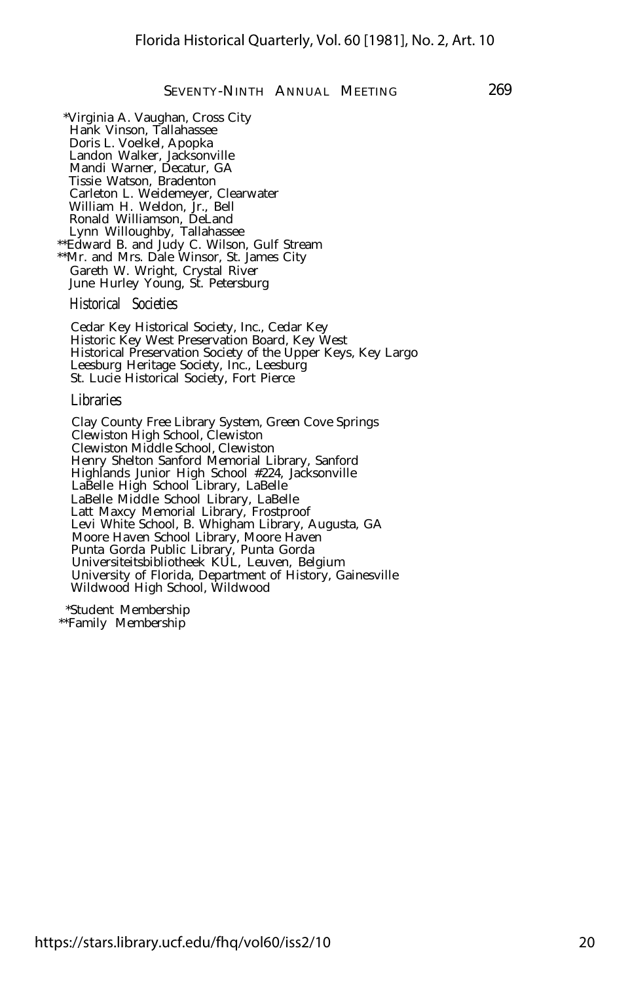\*Virginia A. Vaughan, Cross City Hank Vinson, Tallahassee Doris L. Voelkel, Apopka Landon Walker, Jacksonville Mandi Warner, Decatur, GA Tissie Watson, Bradenton Carleton L. Weidemeyer, Clearwater William H. Weldon, Jr., Bell Ronald Williamson, DeLand Lynn Willoughby, Tallahassee \*\*Edward B. and Judy C. Wilson, Gulf Stream \*\*Mr. and Mrs. Dale Winsor, St. James City Gareth W. Wright, Crystal River

Historical Societies

June Hurley Young, St. Petersburg

Cedar Key Historical Society, Inc., Cedar Key Historic Key West Preservation Board, Key West Historical Preservation Society of the Upper Keys, Key Largo Leesburg Heritage Society, Inc., Leesburg St. Lucie Historical Society, Fort Pierce

Libraries

Clay County Free Library System, Green Cove Springs Clewiston High School, Clewiston Clewiston Middle School, Clewiston Henry Shelton Sanford Memorial Library, Sanford Highlands Junior High School #224, Jacksonville LaBelle High School Library, LaBelle LaBelle Middle School Library, LaBelle Latt Maxcy Memorial Library, Frostproof Levi White School, B. Whigham Library, Augusta, GA Moore Haven School Library, Moore Haven Punta Gorda Public Library, Punta Gorda Universiteitsbibliotheek KUL, Leuven, Belgium University of Florida, Department of History, Gainesville Wildwood High School, Wildwood

\*Student Membership \*\*Family Membership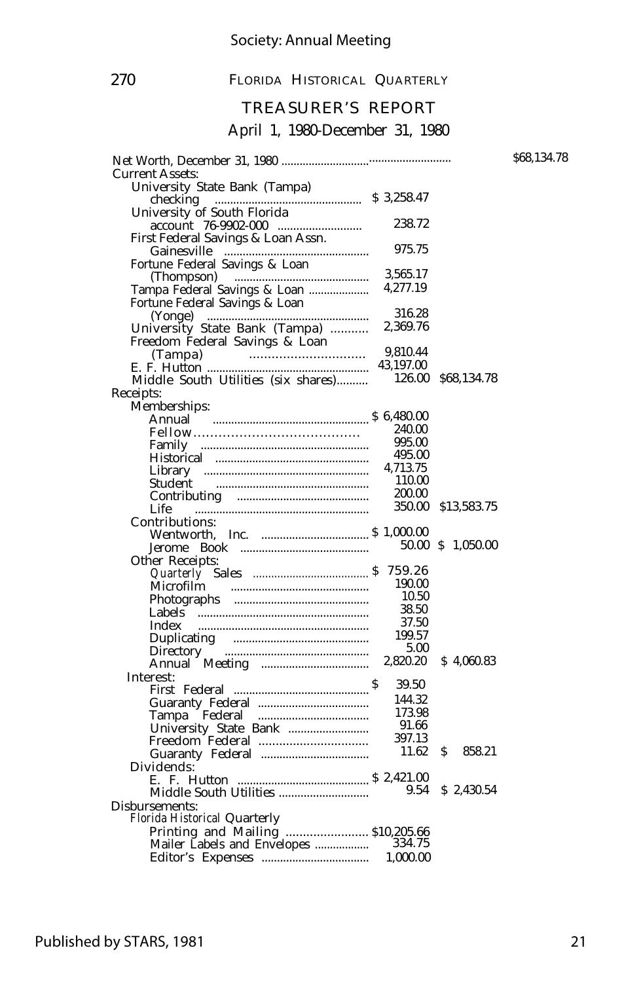#### TREASURER'S REPORT

#### April 1, 1980-December 31, 1980

|                                                                |           |                    | \$68,134.78 |
|----------------------------------------------------------------|-----------|--------------------|-------------|
| <b>Current Assets:</b>                                         |           |                    |             |
| University State Bank (Tampa)                                  |           |                    |             |
| \$3,258.47<br>checking<br>University of South Florida          |           |                    |             |
|                                                                | 238.72    |                    |             |
|                                                                |           |                    |             |
| First Federal Savings & Loan Assn.                             | 975.75    |                    |             |
| Fortune Federal Savings & Loan                                 |           |                    |             |
|                                                                | 3,565.17  |                    |             |
| (Thompson)                                                     | 4,277.19  |                    |             |
| Tampa Federal Savings & Loan<br>Fortune Federal Savings & Loan |           |                    |             |
|                                                                | 316.28    |                    |             |
|                                                                | 2,369.76  |                    |             |
| University State Bank (Tampa)                                  |           |                    |             |
| Freedom Federal Savings & Loan                                 | 9,810.44  |                    |             |
| $E. F. Hutton$                                                 | 43,197.00 |                    |             |
|                                                                |           | 126.00 \$68,134.78 |             |
| Middle South Utilities (six shares)                            |           |                    |             |
| Receipts:                                                      |           |                    |             |
| Memberships:                                                   |           |                    |             |
|                                                                |           |                    |             |
|                                                                | 995.00    |                    |             |
|                                                                | 495.00    |                    |             |
|                                                                | 4,713.75  |                    |             |
|                                                                | 110.00    |                    |             |
|                                                                | 200.00    |                    |             |
|                                                                |           |                    |             |
| Life                                                           | 350.00    | \$13,583.75        |             |
| Contributions:                                                 |           |                    |             |
|                                                                |           |                    |             |
|                                                                |           | 50.00 \$ 1,050.00  |             |
| Other Receipts:                                                | 759.26    |                    |             |
|                                                                | 190.00    |                    |             |
|                                                                | 10.50     |                    |             |
|                                                                | 38.50     |                    |             |
|                                                                | 37.50     |                    |             |
| Index                                                          |           |                    |             |
|                                                                | 199.57    |                    |             |
|                                                                | 5.00      |                    |             |
|                                                                | 2,820.20  | \$4,060.83         |             |
| Interest:                                                      | 39.50     |                    |             |
| First Federal $\ldots$ $\frac{1}{2}$                           |           |                    |             |
|                                                                | 144.32    |                    |             |
|                                                                | 173.98    |                    |             |
|                                                                | 91.66     |                    |             |
|                                                                | 397.13    |                    |             |
|                                                                | 11.62     | S.<br>858.21       |             |
| Dividends:                                                     |           |                    |             |
|                                                                |           |                    |             |
|                                                                | 9.54      | \$2,430.54         |             |
| Disbursements:                                                 |           |                    |             |
| Florida Historical Quarterly                                   |           |                    |             |
| Printing and Mailing  \$10,205.66                              |           |                    |             |
|                                                                |           |                    |             |
|                                                                |           |                    |             |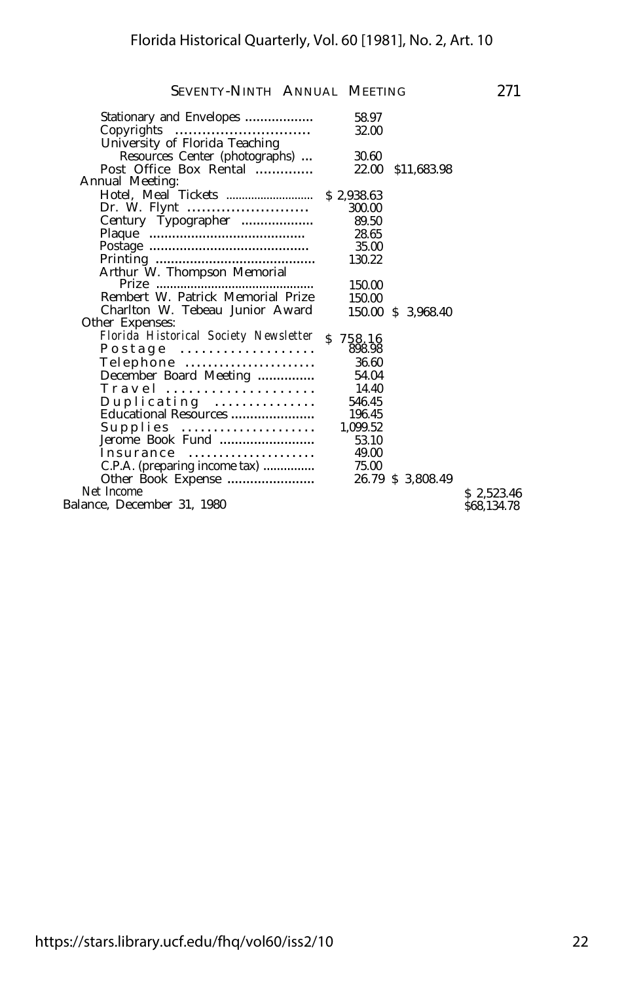| Stationary and Envelopes              | 58.97<br>32.00 |                    |             |
|---------------------------------------|----------------|--------------------|-------------|
| University of Florida Teaching        |                |                    |             |
| Resources Center (photographs)        | 30.60          |                    |             |
| Post Office Box Rental                | 22.00          | \$11,683.98        |             |
| Annual Meeting:                       |                |                    |             |
|                                       |                |                    |             |
|                                       | 300.00         |                    |             |
| Century Typographer                   | 89.50          |                    |             |
|                                       | 28.65          |                    |             |
|                                       | 35.00          |                    |             |
|                                       | 130.22         |                    |             |
| Arthur W. Thompson Memorial           |                |                    |             |
| Prize                                 | 150.00         |                    |             |
| Rembert W. Patrick Memorial Prize     | 150.00         |                    |             |
| Charlton W. Tebeau Junior Award       |                | 150.00 \$ 3,968.40 |             |
| Other Expenses:                       |                |                    |             |
| Florida Historical Society Newsletter | \$758.16       |                    |             |
| $P$ ostage                            | 898.98         |                    |             |
| Telephone                             | 36.60          |                    |             |
| December Board Meeting                | 54.04          |                    |             |
| Travel                                | 14.40          |                    |             |
| Duplicating                           | 546.45         |                    |             |
| Educational Resources                 | 196.45         |                    |             |
| Supplies                              | 1,099.52       |                    |             |
| Jerome Book Fund                      | 53.10          |                    |             |
| Insurance                             | 49.00          |                    |             |
| C.P.A. (preparing income tax)         | 75.00          |                    |             |
| Other Book Expense                    |                | 26.79 \$ 3,808.49  |             |
| Net Income                            |                |                    | \$2,523.46  |
| Balance, December 31, 1980            |                |                    | \$68,134.78 |
|                                       |                |                    |             |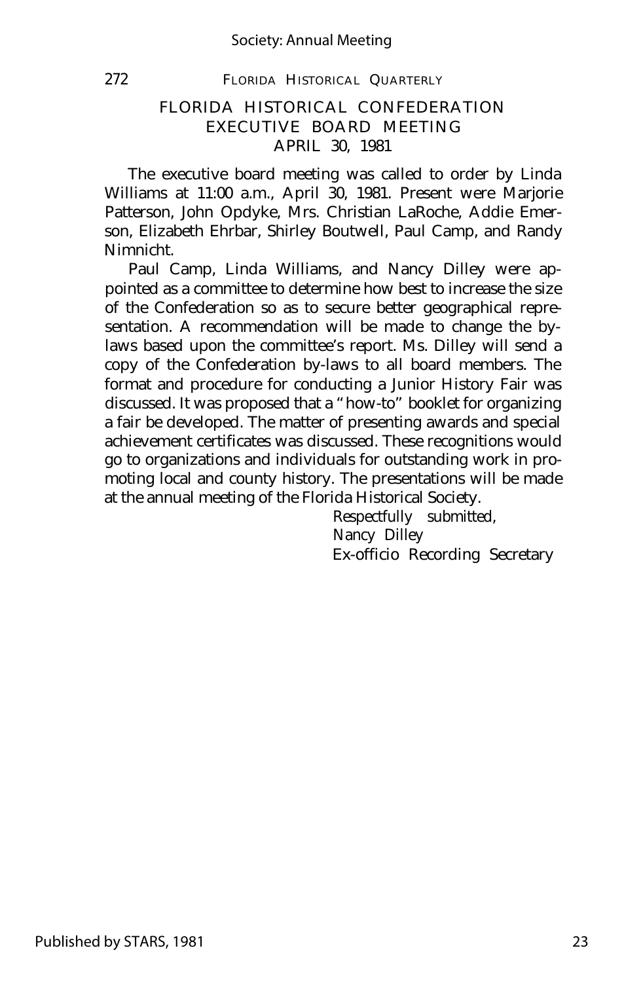#### Society: Annual Meeting

#### 272 FLORIDA HISTORICAL QUARTERLY

#### FLORIDA HISTORICAL CONFEDERATION EXECUTIVE BOARD MEETING APRIL 30, 1981

The executive board meeting was called to order by Linda Williams at 11:00 a.m., April 30, 1981. Present were Marjorie Patterson, John Opdyke, Mrs. Christian LaRoche, Addie Emerson, Elizabeth Ehrbar, Shirley Boutwell, Paul Camp, and Randy Nimnicht.

Paul Camp, Linda Williams, and Nancy Dilley were appointed as a committee to determine how best to increase the size of the Confederation so as to secure better geographical representation. A recommendation will be made to change the bylaws based upon the committee's report. Ms. Dilley will send a copy of the Confederation by-laws to all board members. The format and procedure for conducting a Junior History Fair was discussed. It was proposed that a "how-to" booklet for organizing a fair be developed. The matter of presenting awards and special achievement certificates was discussed. These recognitions would go to organizations and individuals for outstanding work in promoting local and county history. The presentations will be made at the annual meeting of the Florida Historical Society.

Respectfully submitted, Nancy Dilley Ex-officio Recording Secretary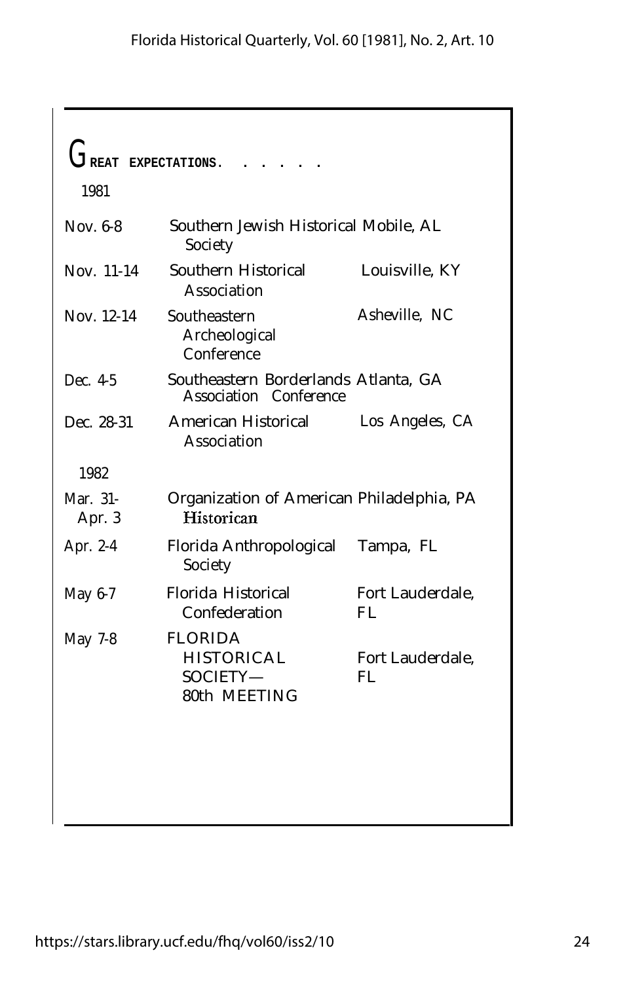|                    | EXPECTATIONS.                                                   |                         |
|--------------------|-----------------------------------------------------------------|-------------------------|
| 1981               |                                                                 |                         |
| Nov. 6-8           | Southern Jewish Historical Mobile, AL<br>Society                |                         |
| Nov. 11-14         | Southern Historical<br>Association                              | Louisville, KY          |
| Nov. 12-14         | Southeastern<br>Archeological<br>Conference                     | Asheville, NC           |
| Dec. 4-5           | Southeastern Borderlands Atlanta, GA<br>Association Conference  |                         |
| Dec. 28-31         | American Historical<br>Association                              | Los Angeles, CA         |
| 1982               |                                                                 |                         |
| Mar. 31-<br>Apr. 3 | Organization of American Philadelphia, PA<br>Historican         |                         |
| Apr. 2-4           | Florida Anthropological<br>Society                              | Tampa, FL               |
| May 6-7            | Florida Historical<br>Confederation                             | Fort Lauderdale,<br>FI. |
| May 7-8            | <b>FLORIDA</b><br><b>HISTORICAL</b><br>SOCIETY-<br>80th MEETING | Fort Lauderdale,<br>FI. |
|                    |                                                                 |                         |
|                    |                                                                 |                         |
|                    |                                                                 |                         |